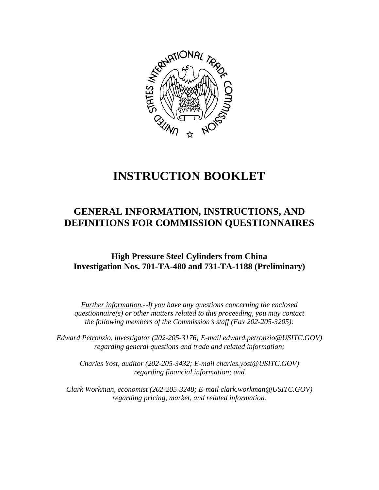

# **INSTRUCTION BOOKLET**

# **GENERAL INFORMATION, INSTRUCTIONS, AND DEFINITIONS FOR COMMISSION QUESTIONNAIRES**

# **High Pressure Steel Cylinders from China Investigation Nos. 701-TA-480 and 731-TA-1188 (Preliminary)**

*Further information.--If you have any questions concerning the enclosed questionnaire(s) or other matters related to this proceeding, you may contact the following members of the Commission's staff (Fax 202-205-3205):* 

 *Edward Petronzio, investigator (202-205-3176; E-mail edward.petronzio@USITC.GOV) regarding general questions and trade and related information;* 

 *Charles Yost, auditor (202-205-3432; E-mail charles.yost@USITC.GOV) regarding financial information; and* 

 *Clark Workman, economist (202-205-3248; E-mail clark.workman@USITC.GOV) regarding pricing, market, and related information.*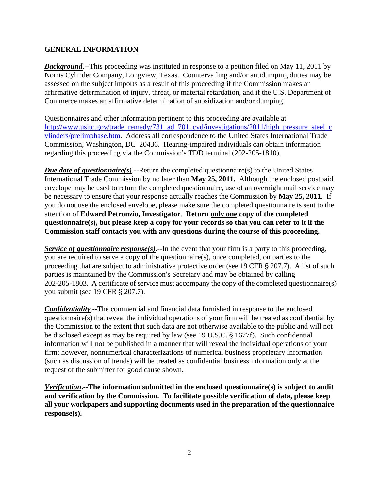# **GENERAL INFORMATION**

**Background.**--This proceeding was instituted in response to a petition filed on May 11, 2011 by Norris Cylinder Company, Longview, Texas. Countervailing and/or antidumping duties may be assessed on the subject imports as a result of this proceeding if the Commission makes an affirmative determination of injury, threat, or material retardation, and if the U.S. Department of Commerce makes an affirmative determination of subsidization and/or dumping.

Questionnaires and other information pertinent to this proceeding are available at http://www.usitc.gov/trade\_remedy/731\_ad\_701\_cvd/investigations/2011/high\_pressure\_steel\_c ylinders/prelimphase.htm. Address all correspondence to the United States International Trade Commission, Washington, DC 20436. Hearing-impaired individuals can obtain information regarding this proceeding via the Commission's TDD terminal (202-205-1810).

*Due date of questionnaire(s)*.--Return the completed questionnaire(s) to the United States International Trade Commission by no later than **May 25, 2011.** Although the enclosed postpaid envelope may be used to return the completed questionnaire, use of an overnight mail service may be necessary to ensure that your response actually reaches the Commission by **May 25, 2011**. If you do not use the enclosed envelope, please make sure the completed questionnaire is sent to the attention of **Edward Petronzio, Investigator**. **Return only one copy of the completed questionnaire(s), but please keep a copy for your records so that you can refer to it if the Commission staff contacts you with any questions during the course of this proceeding.**

*Service of questionnaire response(s).*--In the event that your firm is a party to this proceeding, you are required to serve a copy of the questionnaire(s), once completed, on parties to the proceeding that are subject to administrative protective order (see 19 CFR  $\S 207.7$ ). A list of such parties is maintained by the Commission's Secretary and may be obtained by calling 202-205-1803. A certificate of service must accompany the copy of the completed questionnaire(s) you submit (see 19 CFR § 207.7).

*Confidentiality*.--The commercial and financial data furnished in response to the enclosed questionnaire(s) that reveal the individual operations of your firm will be treated as confidential by the Commission to the extent that such data are not otherwise available to the public and will not be disclosed except as may be required by law (see 19 U.S.C.  $\S$  1677f). Such confidential information will not be published in a manner that will reveal the individual operations of your firm; however, nonnumerical characterizations of numerical business proprietary information (such as discussion of trends) will be treated as confidential business information only at the request of the submitter for good cause shown.

*Verification***.--The information submitted in the enclosed questionnaire(s) is subject to audit and verification by the Commission. To facilitate possible verification of data, please keep all your workpapers and supporting documents used in the preparation of the questionnaire response(s).**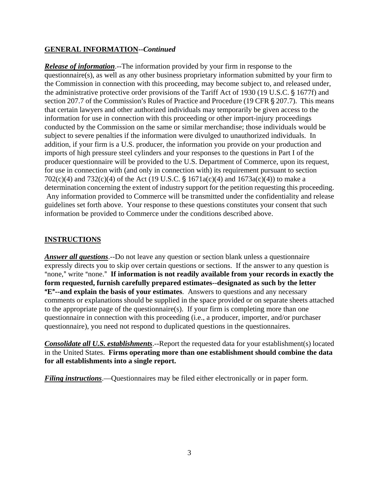## **GENERAL INFORMATION--***Continued*

*Release of information*.--The information provided by your firm in response to the questionnaire(s), as well as any other business proprietary information submitted by your firm to the Commission in connection with this proceeding, may become subject to, and released under, the administrative protective order provisions of the Tariff Act of 1930 (19 U.S.C. § 1677f) and section 207.7 of the Commission's Rules of Practice and Procedure (19 CFR  $\S$  207.7). This means that certain lawyers and other authorized individuals may temporarily be given access to the information for use in connection with this proceeding or other import-injury proceedings conducted by the Commission on the same or similar merchandise; those individuals would be subject to severe penalties if the information were divulged to unauthorized individuals. In addition, if your firm is a U.S. producer, the information you provide on your production and imports of high pressure steel cylinders and your responses to the questions in Part I of the producer questionnaire will be provided to the U.S. Department of Commerce, upon its request, for use in connection with (and only in connection with) its requirement pursuant to section 702(c)(4) and 732(c)(4) of the Act (19 U.S.C. § 1671a(c)(4) and 1673a(c)(4)) to make a determination concerning the extent of industry support for the petition requesting this proceeding. Any information provided to Commerce will be transmitted under the confidentiality and release guidelines set forth above. Your response to these questions constitutes your consent that such information be provided to Commerce under the conditions described above.

#### **INSTRUCTIONS**

*Answer all questions*.--Do not leave any question or section blank unless a questionnaire expressly directs you to skip over certain questions or sections. If the answer to any question is "none," write "none." If information is not readily available from your records in exactly the **form requested, furnish carefully prepared estimates--designated as such by the letter E<sup>"</sup>--and explain the basis of your estimates**. Answers to questions and any necessary comments or explanations should be supplied in the space provided or on separate sheets attached to the appropriate page of the questionnaire(s). If your firm is completing more than one questionnaire in connection with this proceeding (i.e., a producer, importer, and/or purchaser questionnaire), you need not respond to duplicated questions in the questionnaires.

*Consolidate all U.S. establishments*.--Report the requested data for your establishment(s) located in the United States. **Firms operating more than one establishment should combine the data for all establishments into a single report.**

*Filing instructions*.—Questionnaires may be filed either electronically or in paper form.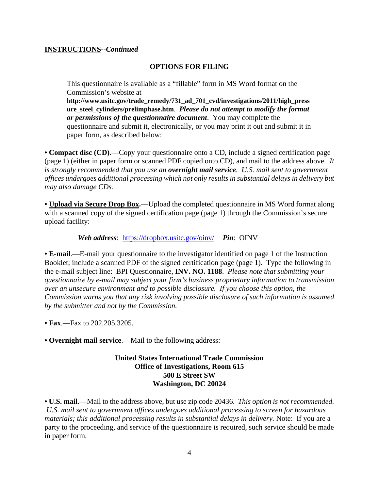#### **INSTRUCTIONS--***Continued*

#### **OPTIONS FOR FILING**

This questionnaire is available as a "fillable" form in MS Word format on the Commission's website at

h**ttp://www.usitc.gov/trade\_remedy/731\_ad\_701\_cvd/investigations/2011/high\_press ure\_steel\_cylinders/prelimphase.htm**. *Please do not attempt to modify the format or permissions of the questionnaire document*. You may complete the questionnaire and submit it, electronically, or you may print it out and submit it in paper form, as described below:

**• Compact disc (CD)**.—Copy your questionnaire onto a CD, include a signed certification page (page 1) (either in paper form or scanned PDF copied onto CD), and mail to the address above. *It is strongly recommended that you use an overnight mail service. U.S. mail sent to government offices undergoes additional processing which not only results in substantial delays in delivery but may also damage CDs.* 

**• Upload via Secure Drop Box.**—Upload the completed questionnaire in MS Word format along with a scanned copy of the signed certification page (page 1) through the Commission's secure upload facility:

*Web address*: https://dropbox.usitc.gov/oinv/ *Pin*: OINV

**• E-mail**.—E-mail your questionnaire to the investigator identified on page 1 of the Instruction Booklet; include a scanned PDF of the signed certification page (page 1). Type the following in the e-mail subject line: BPI Questionnaire, **INV. NO. 1188**. *Please note that submitting your questionnaire by e-mail may subject your firm's business proprietary information to transmission over an unsecure environment and to possible disclosure. If you choose this option, the Commission warns you that any risk involving possible disclosure of such information is assumed by the submitter and not by the Commission.* 

**• Fax**.—Fax to 202.205.3205.

**• Overnight mail service**.—Mail to the following address:

#### **United States International Trade Commission Office of Investigations, Room 615 500 E Street SW Washington, DC 20024**

**• U.S. mail**.—Mail to the address above, but use zip code 20436. *This option is not recommended. U.S. mail sent to government offices undergoes additional processing to screen for hazardous materials; this additional processing results in substantial delays in delivery.* Note: If you are a party to the proceeding, and service of the questionnaire is required, such service should be made in paper form.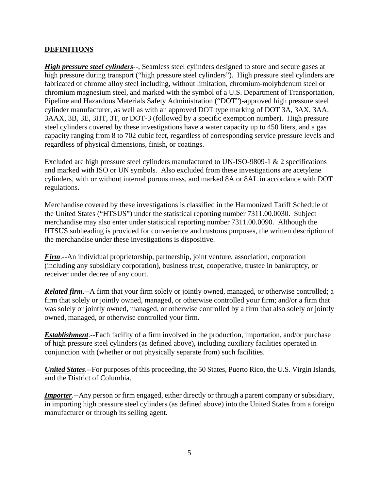# **DEFINITIONS**

*High pressure steel cylinders*--, Seamless steel cylinders designed to store and secure gases at high pressure during transport ("high pressure steel cylinders"). High pressure steel cylinders are fabricated of chrome alloy steel including, without limitation, chromium-molybdenum steel or chromium magnesium steel, and marked with the symbol of a U.S. Department of Transportation, Pipeline and Hazardous Materials Safety Administration ("DOT")-approved high pressure steel cylinder manufacturer, as well as with an approved DOT type marking of DOT 3A, 3AX, 3AA, 3AAX, 3B, 3E, 3HT, 3T, or DOT-3 (followed by a specific exemption number). High pressure steel cylinders covered by these investigations have a water capacity up to 450 liters, and a gas capacity ranging from 8 to 702 cubic feet, regardless of corresponding service pressure levels and regardless of physical dimensions, finish, or coatings.

Excluded are high pressure steel cylinders manufactured to UN-ISO-9809-1 & 2 specifications and marked with ISO or UN symbols. Also excluded from these investigations are acetylene cylinders, with or without internal porous mass, and marked 8A or 8AL in accordance with DOT regulations.

Merchandise covered by these investigations is classified in the Harmonized Tariff Schedule of the United States ("HTSUS") under the statistical reporting number 7311.00.0030. Subject merchandise may also enter under statistical reporting number 7311.00.0090. Although the HTSUS subheading is provided for convenience and customs purposes, the written description of the merchandise under these investigations is dispositive.

*Firm*.--An individual proprietorship, partnership, joint venture, association, corporation (including any subsidiary corporation), business trust, cooperative, trustee in bankruptcy, or receiver under decree of any court.

*Related firm*.--A firm that your firm solely or jointly owned, managed, or otherwise controlled; a firm that solely or jointly owned, managed, or otherwise controlled your firm; and/or a firm that was solely or jointly owned, managed, or otherwise controlled by a firm that also solely or jointly owned, managed, or otherwise controlled your firm.

*Establishment*.--Each facility of a firm involved in the production, importation, and/or purchase of high pressure steel cylinders (as defined above), including auxiliary facilities operated in conjunction with (whether or not physically separate from) such facilities.

*United States*.--For purposes of this proceeding, the 50 States, Puerto Rico, the U.S. Virgin Islands, and the District of Columbia.

*Importer*.--Any person or firm engaged, either directly or through a parent company or subsidiary, in importing high pressure steel cylinders (as defined above) into the United States from a foreign manufacturer or through its selling agent.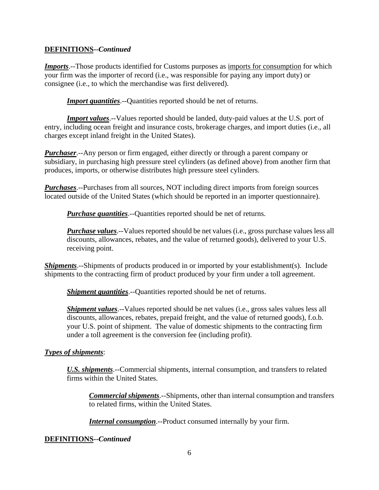## **DEFINITIONS--***Continued*

*Imports*.--Those products identified for Customs purposes as imports for consumption for which your firm was the importer of record (i.e., was responsible for paying any import duty) or consignee (i.e., to which the merchandise was first delivered).

*Import quantities*.--Quantities reported should be net of returns.

*Import values*.--Values reported should be landed, duty-paid values at the U.S. port of entry, including ocean freight and insurance costs, brokerage charges, and import duties (i.e., all charges except inland freight in the United States).

*Purchaser*.--Any person or firm engaged, either directly or through a parent company or subsidiary, in purchasing high pressure steel cylinders (as defined above) from another firm that produces, imports, or otherwise distributes high pressure steel cylinders.

*Purchases*.--Purchases from all sources, NOT including direct imports from foreign sources located outside of the United States (which should be reported in an importer questionnaire).

*Purchase quantities*.--Quantities reported should be net of returns.

*Purchase values*.--Values reported should be net values (i.e., gross purchase values less all discounts, allowances, rebates, and the value of returned goods), delivered to your U.S. receiving point.

*Shipments*.--Shipments of products produced in or imported by your establishment(s). Include shipments to the contracting firm of product produced by your firm under a toll agreement.

*Shipment quantities*.--Quantities reported should be net of returns.

*Shipment values*.--Values reported should be net values (i.e., gross sales values less all discounts, allowances, rebates, prepaid freight, and the value of returned goods), f.o.b. your U.S. point of shipment. The value of domestic shipments to the contracting firm under a toll agreement is the conversion fee (including profit).

# *Types of shipments*:

*U.S. shipments*.--Commercial shipments, internal consumption, and transfers to related firms within the United States.

*Commercial shipments*.--Shipments, other than internal consumption and transfers to related firms, within the United States.

*Internal consumption*.--Product consumed internally by your firm.

#### **DEFINITIONS--***Continued*